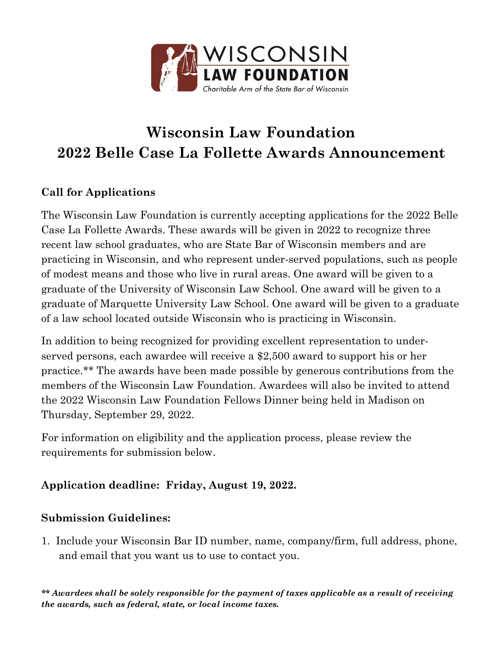

# **Wisconsin Law Foundation 2022 Belle Case La Follette Awards Announcement**

## **Call for Applications**

The Wisconsin Law Foundation is currently accepting applications for the 2022 Belle Case La Follette Awards. These awards will be given in 2022 to recognize three recent law school graduates, who are State Bar of Wisconsin members and are practicing in Wisconsin, and who represent under-served populations, such as people of modest means and those who live in rural areas. One award will be given to a graduate of the University of Wisconsin Law School. One award will be given to a graduate of Marquette University Law School. One award will be given to a graduate of a law school located outside Wisconsin who is practicing in Wisconsin.

In addition to being recognized for providing excellent representation to underserved persons, each awardee will receive a \$2,500 award to support his or her practice.\*\* The awards have been made possible by generous contributions from the members of the Wisconsin Law Foundation. Awardees will also be invited to attend the 2022 Wisconsin Law Foundation Fellows Dinner being held in Madison on Thursday, September 29, 2022.

For information on eligibility and the application process, please review the requirements for submission below.

## **Application deadline: Friday, August 19, 2022.**

### **Submission Guidelines:**

1. Include your Wisconsin Bar ID number, name, company/firm, full address, phone, and email that you want us to use to contact you.

*\*\* Awardees shall be solely responsible for the payment of taxes applicable as a result of receiving the awards, such as federal, state, or local income taxes.*